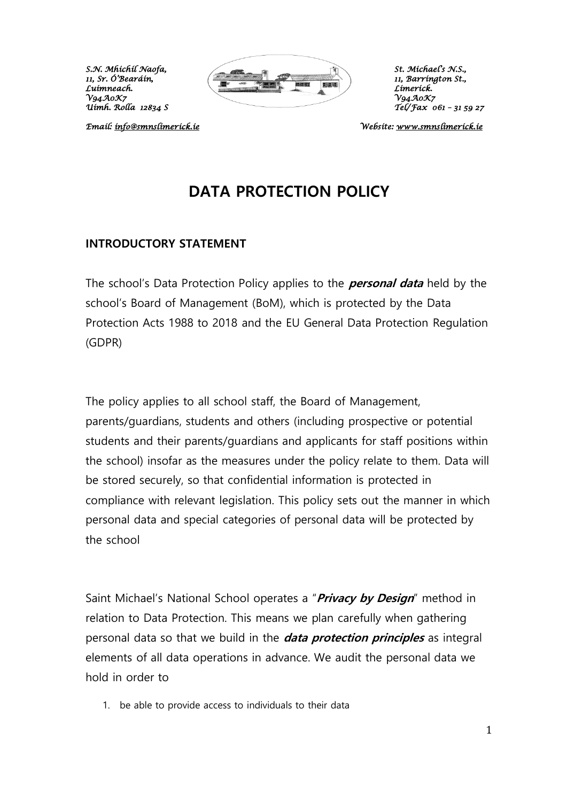

*11, Barríngton St., Uimh. Rolla 12834 S Tel/Fax 061 – 31 59 27* 

*Email: [info@smnslimerick.ie](mailto:info@smnslimerick.ie) Website: [www.smnslimerick.ie](http://www.smnslimerick.ie/)* 

## **DATA PROTECTION POLICY**

#### **INTRODUCTORY STATEMENT**

The school's Data Protection Policy applies to the **personal data** held by the school's Board of Management (BoM), which is protected by the Data Protection Acts 1988 to 2018 and the EU General Data Protection Regulation (GDPR)

The policy applies to all school staff, the Board of Management, parents/guardians, students and others (including prospective or potential students and their parents/guardians and applicants for staff positions within the school) insofar as the measures under the policy relate to them. Data will be stored securely, so that confidential information is protected in compliance with relevant legislation. This policy sets out the manner in which personal data and special categories of personal data will be protected by the school

Saint Michael's National School operates a "**Privacy by Design**" method in relation to Data Protection. This means we plan carefully when gathering personal data so that we build in the **data protection principles** as integral elements of all data operations in advance. We audit the personal data we hold in order to

1. be able to provide access to individuals to their data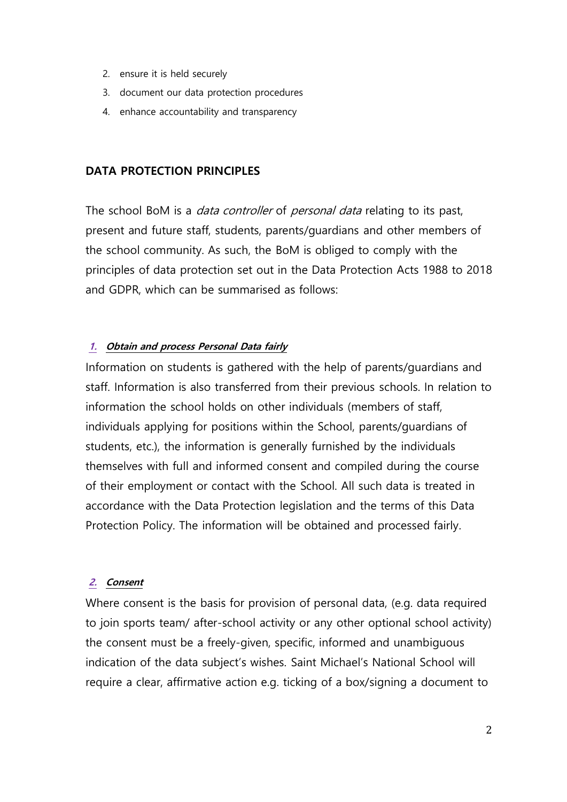- 2. ensure it is held securely
- 3. document our data protection procedures
- 4. enhance accountability and transparency

## **DATA PROTECTION PRINCIPLES**

The school BoM is a *data controller* of *personal data* relating to its past, present and future staff, students, parents/guardians and other members of the school community. As such, the BoM is obliged to comply with the principles of data protection set out in the Data Protection Acts 1988 to 2018 and GDPR, which can be summarised as follows:

#### **1. Obtain and process Personal Data fairly**

Information on students is gathered with the help of parents/guardians and staff. Information is also transferred from their previous schools. In relation to information the school holds on other individuals (members of staff, individuals applying for positions within the School, parents/guardians of students, etc.), the information is generally furnished by the individuals themselves with full and informed consent and compiled during the course of their employment or contact with the School. All such data is treated in accordance with the Data Protection legislation and the terms of this Data Protection Policy. The information will be obtained and processed fairly.

#### **2. Consent**

Where consent is the basis for provision of personal data, (e.g. data required to join sports team/ after-school activity or any other optional school activity) the consent must be a freely-given, specific, informed and unambiguous indication of the data subject's wishes. Saint Michael's National School will require a clear, affirmative action e.g. ticking of a box/signing a document to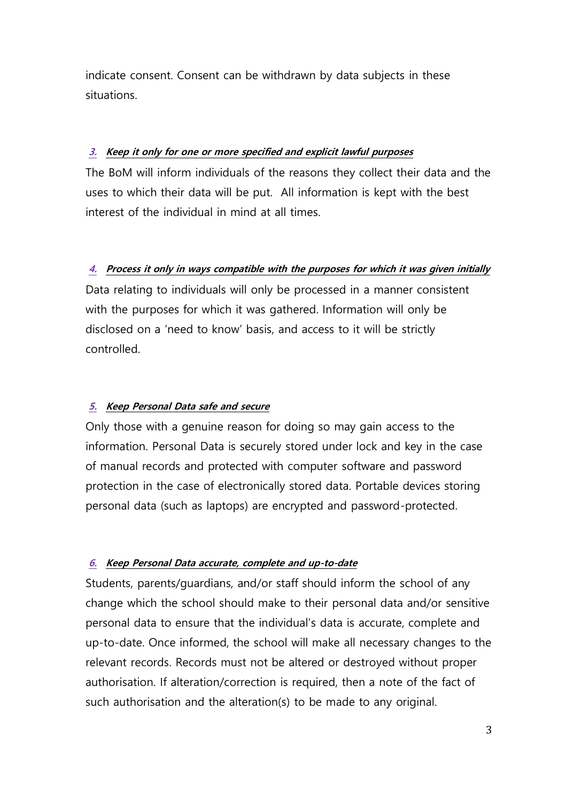indicate consent. Consent can be withdrawn by data subjects in these situations.

#### **3. Keep it only for one or more specified and explicit lawful purposes**

The BoM will inform individuals of the reasons they collect their data and the uses to which their data will be put. All information is kept with the best interest of the individual in mind at all times.

## **4. Process it only in ways compatible with the purposes for which it was given initially**

Data relating to individuals will only be processed in a manner consistent with the purposes for which it was gathered. Information will only be disclosed on a 'need to know' basis, and access to it will be strictly controlled.

#### **5. Keep Personal Data safe and secure**

Only those with a genuine reason for doing so may gain access to the information. Personal Data is securely stored under lock and key in the case of manual records and protected with computer software and password protection in the case of electronically stored data. Portable devices storing personal data (such as laptops) are encrypted and password-protected.

#### **6. Keep Personal Data accurate, complete and up-to-date**

Students, parents/guardians, and/or staff should inform the school of any change which the school should make to their personal data and/or sensitive personal data to ensure that the individual's data is accurate, complete and up-to-date. Once informed, the school will make all necessary changes to the relevant records. Records must not be altered or destroyed without proper authorisation. If alteration/correction is required, then a note of the fact of such authorisation and the alteration(s) to be made to any original.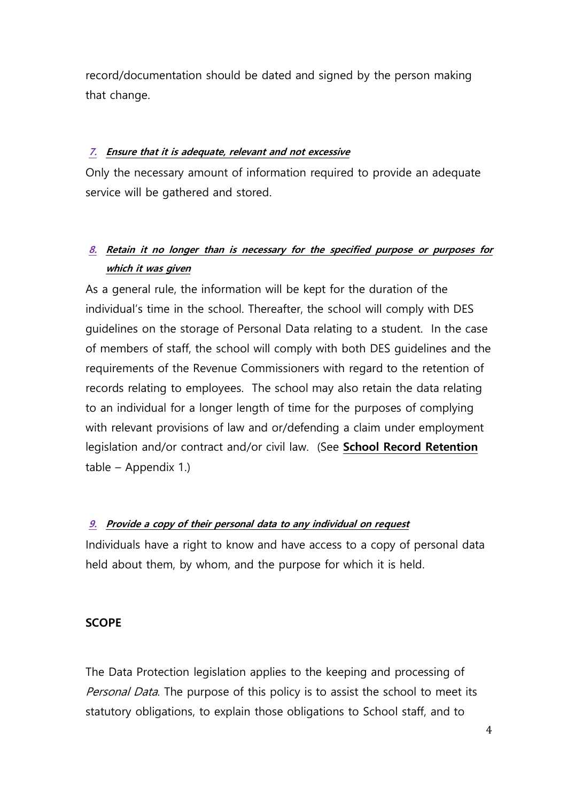record/documentation should be dated and signed by the person making that change.

### **7. Ensure that it is adequate, relevant and not excessive**

Only the necessary amount of information required to provide an adequate service will be gathered and stored.

## **8. Retain it no longer than is necessary for the specified purpose or purposes for which it was given**

As a general rule, the information will be kept for the duration of the individual's time in the school. Thereafter, the school will comply with DES guidelines on the storage of Personal Data relating to a student. In the case of members of staff, the school will comply with both DES guidelines and the requirements of the Revenue Commissioners with regard to the retention of records relating to employees. The school may also retain the data relating to an individual for a longer length of time for the purposes of complying with relevant provisions of law and or/defending a claim under employment legislation and/or contract and/or civil law. (See **School Record Retention** table – Appendix 1.)

## **9. Provide a copy of their personal data to any individual on request**

Individuals have a right to know and have access to a copy of personal data held about them, by whom, and the purpose for which it is held.

#### **SCOPE**

The Data Protection legislation applies to the keeping and processing of Personal Data. The purpose of this policy is to assist the school to meet its statutory obligations, to explain those obligations to School staff, and to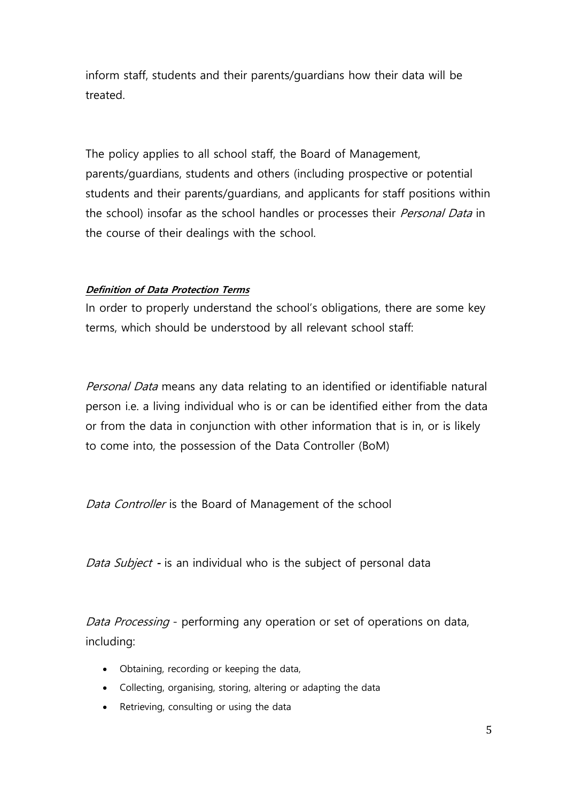inform staff, students and their parents/guardians how their data will be treated.

The policy applies to all school staff, the Board of Management, parents/guardians, students and others (including prospective or potential students and their parents/guardians, and applicants for staff positions within the school) insofar as the school handles or processes their Personal Data in the course of their dealings with the school.

#### **Definition of Data Protection Terms**

In order to properly understand the school's obligations, there are some key terms, which should be understood by all relevant school staff:

Personal Data means any data relating to an identified or identifiable natural person i.e. a living individual who is or can be identified either from the data or from the data in conjunction with other information that is in, or is likely to come into, the possession of the Data Controller (BoM)

Data Controller is the Board of Management of the school

Data Subject **-** is an individual who is the subject of personal data

Data Processing - performing any operation or set of operations on data, including:

- Obtaining, recording or keeping the data,
- Collecting, organising, storing, altering or adapting the data
- Retrieving, consulting or using the data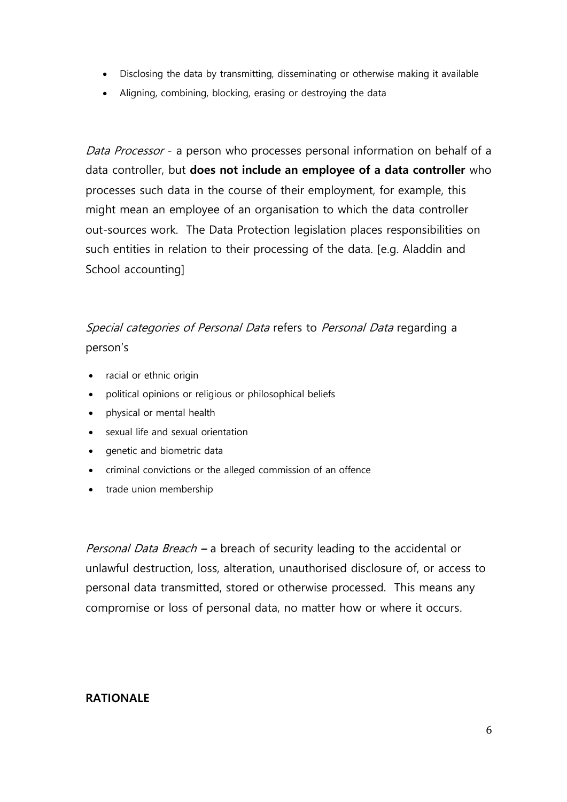- Disclosing the data by transmitting, disseminating or otherwise making it available
- Aligning, combining, blocking, erasing or destroying the data

Data Processor - a person who processes personal information on behalf of a data controller, but **does not include an employee of a data controller** who processes such data in the course of their employment, for example, this might mean an employee of an organisation to which the data controller out-sources work. The Data Protection legislation places responsibilities on such entities in relation to their processing of the data. [e.g. Aladdin and School accounting]

## Special categories of Personal Data refers to Personal Data regarding a person's

- racial or ethnic origin
- political opinions or religious or philosophical beliefs
- physical or mental health
- sexual life and sexual orientation
- genetic and biometric data
- criminal convictions or the alleged commission of an offence
- trade union membership

Personal Data Breach **–** a breach of security leading to the accidental or unlawful destruction, loss, alteration, unauthorised disclosure of, or access to personal data transmitted, stored or otherwise processed. This means any compromise or loss of personal data, no matter how or where it occurs.

#### **RATIONALE**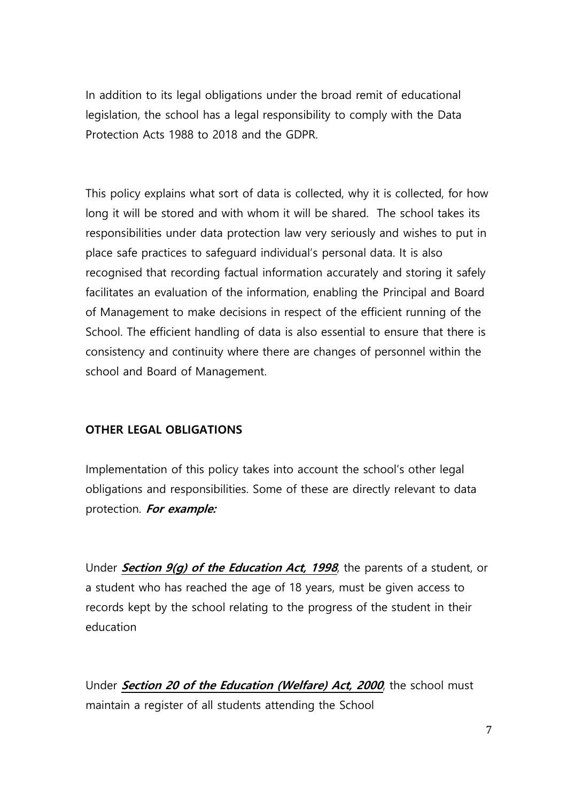In addition to its legal obligations under the broad remit of educational legislation, the school has a legal responsibility to comply with the Data Protection Acts 1988 to 2018 and the GDPR.

This policy explains what sort of data is collected, why it is collected, for how long it will be stored and with whom it will be shared. The school takes its responsibilities under data protection law very seriously and wishes to put in place safe practices to safeguard individual's personal data. It is also recognised that recording factual information accurately and storing it safely facilitates an evaluation of the information, enabling the Principal and Board of Management to make decisions in respect of the efficient running of the School. The efficient handling of data is also essential to ensure that there is consistency and continuity where there are changes of personnel within the school and Board of Management.

#### **OTHER LEGAL OBLIGATIONS**

Implementation of this policy takes into account the school's other legal obligations and responsibilities. Some of these are directly relevant to data protection. **For example:**

Under **Section 9(g) of th[e Education Act, 1998](http://acts2.oireachtas.ie/zza51y1998.1.html)**, the parents of a student, or a student who has reached the age of 18 years, must be given access to records kept by the school relating to the progress of the student in their education

Under **Section 20 of the [Education \(Welfare\) Act, 2000](http://www.oireachtas.ie/documents/bills28/acts/2000/a2200.pdf)**, the school must maintain a register of all students attending the School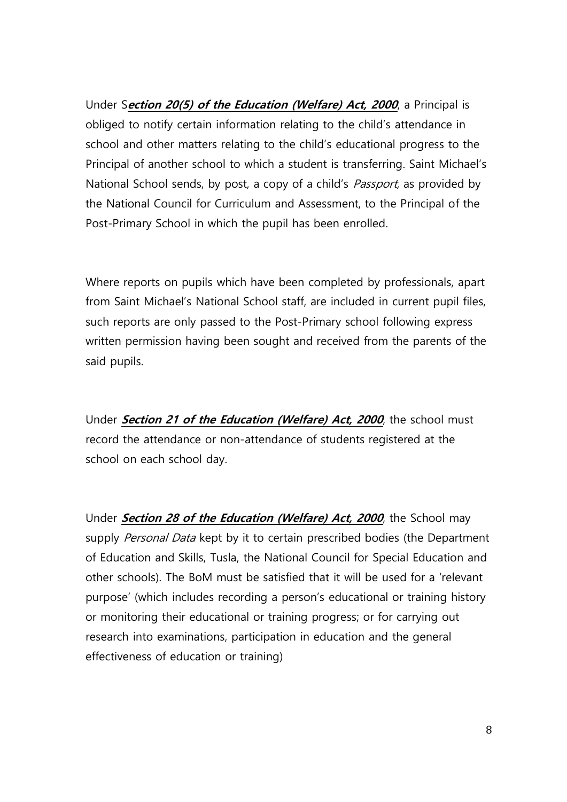Under S**ection 20(5) of the Education (Welfare) Act, 2000**, a Principal is obliged to notify certain information relating to the child's attendance in school and other matters relating to the child's educational progress to the Principal of another school to which a student is transferring. Saint Michael's National School sends, by post, a copy of a child's *Passport*, as provided by the National Council for Curriculum and Assessment, to the Principal of the Post-Primary School in which the pupil has been enrolled.

Where reports on pupils which have been completed by professionals, apart from Saint Michael's National School staff, are included in current pupil files, such reports are only passed to the Post-Primary school following express written permission having been sought and received from the parents of the said pupils.

Under **Section 21 of the [Education \(Welfare\) Act, 2000](http://www.oireachtas.ie/documents/bills28/acts/2000/a2200.pdf)**, the school must record the attendance or non-attendance of students registered at the school on each school day.

Under **Section 28 of the [Education \(Welfare\) Act, 2000](http://www.oireachtas.ie/documents/bills28/acts/2000/a2200.pdf)**, the School may supply Personal Data kept by it to certain prescribed bodies (the Department of Education and Skills, Tusla, the National Council for Special Education and other schools). The BoM must be satisfied that it will be used for a 'relevant purpose' (which includes recording a person's educational or training history or monitoring their educational or training progress; or for carrying out research into examinations, participation in education and the general effectiveness of education or training)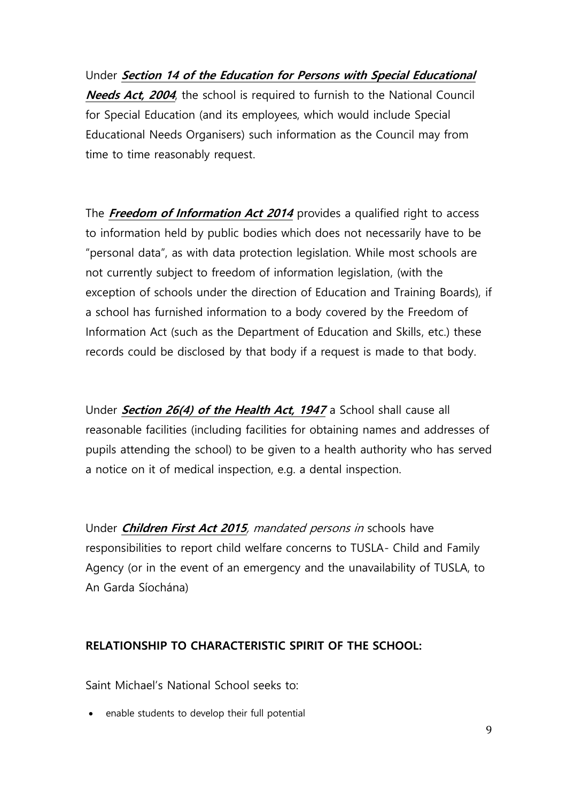Under **Section 14 of the Education for Persons with Special Educational Needs Act, 2004**, the school is required to furnish to the National Council for Special Education (and its employees, which would include Special Educational Needs Organisers) such information as the Council may from time to time reasonably request.

The **Freedom of Information Act 2014** provides a qualified right to access to information held by public bodies which does not necessarily have to be "personal data", as with data protection legislation. While most schools are not currently subject to freedom of information legislation, (with the exception of schools under the direction of Education and Training Boards), if a school has furnished information to a body covered by the Freedom of Information Act (such as the Department of Education and Skills, etc.) these records could be disclosed by that body if a request is made to that body.

Under **Section 26(4) of the Health Act, 1947** a School shall cause all reasonable facilities (including facilities for obtaining names and addresses of pupils attending the school) to be given to a health authority who has served a notice on it of medical inspection, e.g. a dental inspection.

Under **Children First Act 2015**, mandated persons in schools have responsibilities to report child welfare concerns to TUSLA- Child and Family Agency (or in the event of an emergency and the unavailability of TUSLA, to An Garda Síochána)

## **RELATIONSHIP TO CHARACTERISTIC SPIRIT OF THE SCHOOL:**

Saint Michael's National School seeks to:

• enable students to develop their full potential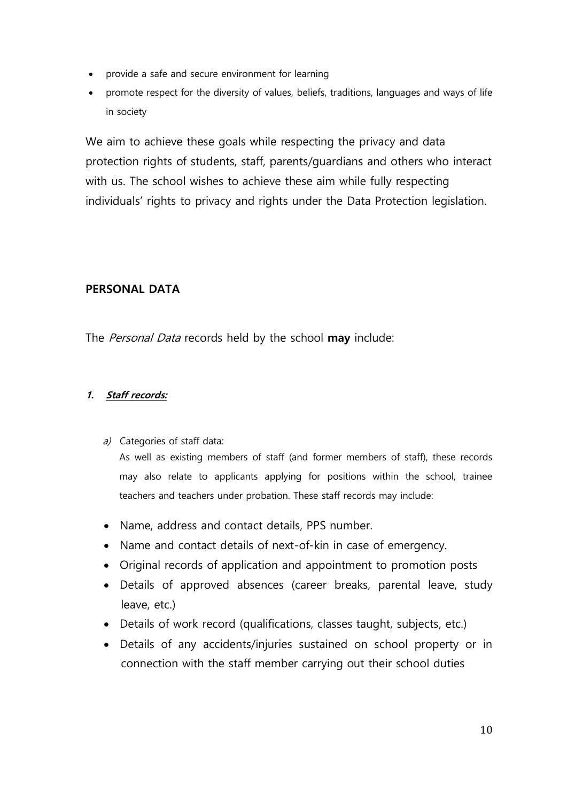- provide a safe and secure environment for learning
- promote respect for the diversity of values, beliefs, traditions, languages and ways of life in society

We aim to achieve these goals while respecting the privacy and data protection rights of students, staff, parents/guardians and others who interact with us. The school wishes to achieve these aim while fully respecting individuals' rights to privacy and rights under the Data Protection legislation.

#### **PERSONAL DATA**

The Personal Data records held by the school **may** include:

#### **1. Staff records:**

a) Categories of staff data:

As well as existing members of staff (and former members of staff), these records may also relate to applicants applying for positions within the school, trainee teachers and teachers under probation. These staff records may include:

- Name, address and contact details, PPS number.
- Name and contact details of next-of-kin in case of emergency.
- Original records of application and appointment to promotion posts
- Details of approved absences (career breaks, parental leave, study leave, etc.)
- Details of work record (qualifications, classes taught, subjects, etc.)
- Details of any accidents/injuries sustained on school property or in connection with the staff member carrying out their school duties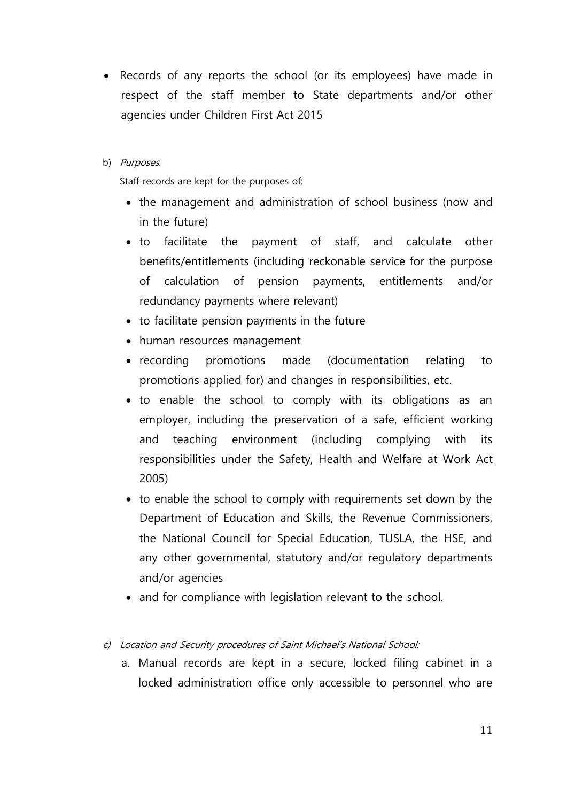- Records of any reports the school (or its employees) have made in respect of the staff member to State departments and/or other agencies under Children First Act 2015
- b) Purposes.

Staff records are kept for the purposes of:

- the management and administration of school business (now and in the future)
- to facilitate the payment of staff, and calculate other benefits/entitlements (including reckonable service for the purpose of calculation of pension payments, entitlements and/or redundancy payments where relevant)
- to facilitate pension payments in the future
- human resources management
- recording promotions made (documentation relating to promotions applied for) and changes in responsibilities, etc.
- to enable the school to comply with its obligations as an employer, including the preservation of a safe, efficient working and teaching environment (including complying with its responsibilities under the Safety, Health and Welfare at Work Act 2005)
- to enable the school to comply with requirements set down by the Department of Education and Skills, the Revenue Commissioners, the National Council for Special Education, TUSLA, the HSE, and any other governmental, statutory and/or regulatory departments and/or agencies
- and for compliance with legislation relevant to the school.
- c) Location and Security procedures of Saint Michael's National School:
	- a. Manual records are kept in a secure, locked filing cabinet in a locked administration office only accessible to personnel who are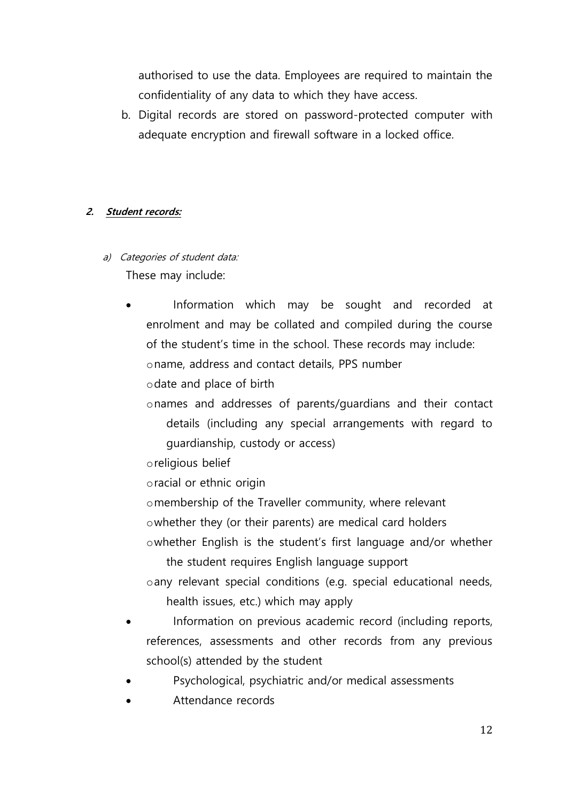authorised to use the data. Employees are required to maintain the confidentiality of any data to which they have access.

b. Digital records are stored on password-protected computer with adequate encryption and firewall software in a locked office.

#### **2. Student records:**

- a) Categories of student data: These may include:
	- Information which may be sought and recorded at enrolment and may be collated and compiled during the course of the student's time in the school. These records may include: oname, address and contact details, PPS number

odate and place of birth

onames and addresses of parents/guardians and their contact details (including any special arrangements with regard to guardianship, custody or access)

oreligious belief

oracial or ethnic origin

omembership of the Traveller community, where relevant

owhether they (or their parents) are medical card holders

owhether English is the student's first language and/or whether

the student requires English language support

oany relevant special conditions (e.g. special educational needs, health issues, etc.) which may apply

- Information on previous academic record (including reports, references, assessments and other records from any previous school(s) attended by the student
- Psychological, psychiatric and/or medical assessments
- Attendance records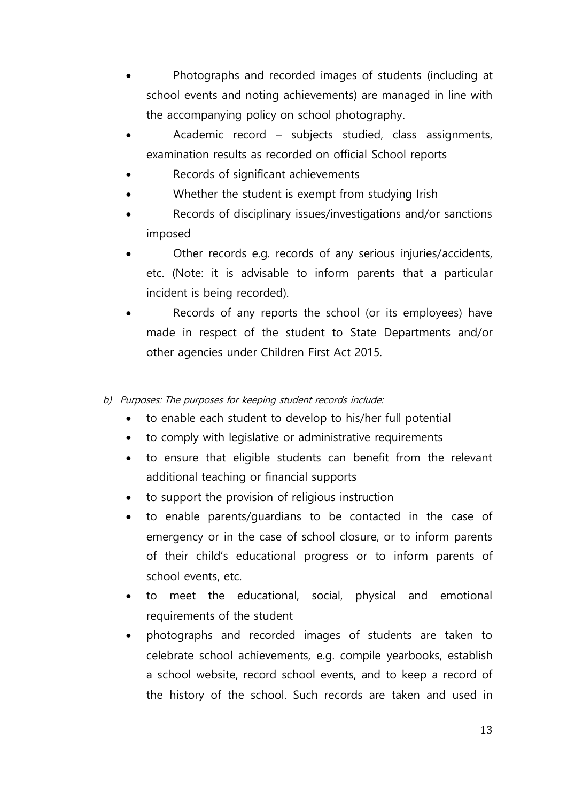- Photographs and recorded images of students (including at school events and noting achievements) are managed in line with the accompanying policy on school photography.
- Academic record subjects studied, class assignments, examination results as recorded on official School reports
- Records of significant achievements
- Whether the student is exempt from studying Irish
- Records of disciplinary issues/investigations and/or sanctions imposed
- Other records e.g. records of any serious injuries/accidents, etc. (Note: it is advisable to inform parents that a particular incident is being recorded).
- Records of any reports the school (or its employees) have made in respect of the student to State Departments and/or other agencies under Children First Act 2015.
- b) Purposes: The purposes for keeping student records include:
	- to enable each student to develop to his/her full potential
	- to comply with legislative or administrative requirements
	- to ensure that eligible students can benefit from the relevant additional teaching or financial supports
	- to support the provision of religious instruction
	- to enable parents/guardians to be contacted in the case of emergency or in the case of school closure, or to inform parents of their child's educational progress or to inform parents of school events, etc.
	- to meet the educational, social, physical and emotional requirements of the student
	- photographs and recorded images of students are taken to celebrate school achievements, e.g. compile yearbooks, establish a school website, record school events, and to keep a record of the history of the school. Such records are taken and used in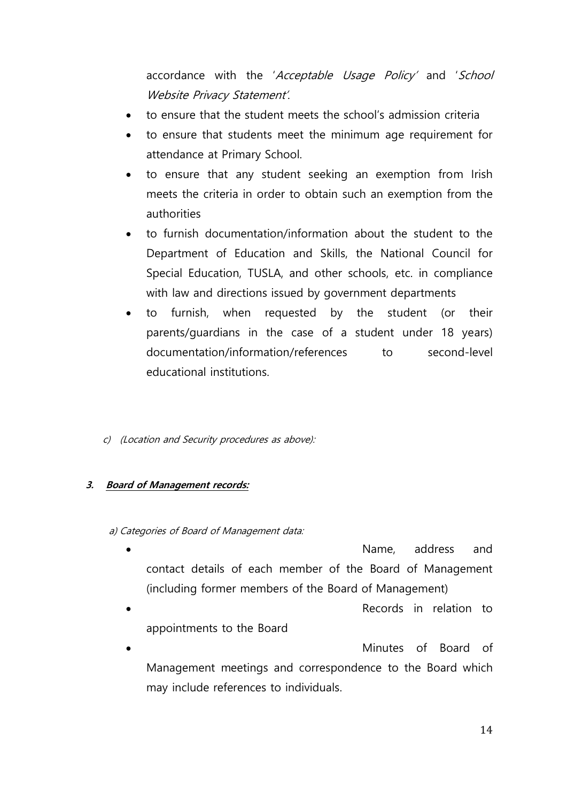accordance with the 'Acceptable Usage Policy' and 'School Website Privacy Statement'.

- to ensure that the student meets the school's admission criteria
- to ensure that students meet the minimum age requirement for attendance at Primary School.
- to ensure that any student seeking an exemption from Irish meets the criteria in order to obtain such an exemption from the authorities
- to furnish documentation/information about the student to the Department of Education and Skills, the National Council for Special Education, TUSLA, and other schools, etc. in compliance with law and directions issued by government departments
- to furnish, when requested by the student (or their parents/guardians in the case of a student under 18 years) documentation/information/references to second-level educational institutions.
- c) (Location and Security procedures as above):

#### **3. Board of Management records:**

#### a) Categories of Board of Management data:

- Name, address and contact details of each member of the Board of Management (including former members of the Board of Management)
- Records in relation to appointments to the Board
- Minutes of Board of Management meetings and correspondence to the Board which may include references to individuals.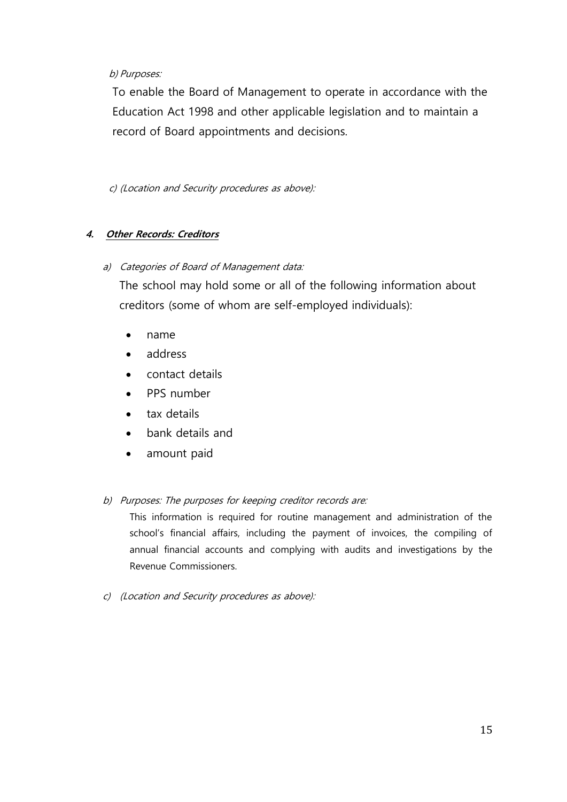#### b) Purposes:

To enable the Board of Management to operate in accordance with the Education Act 1998 and other applicable legislation and to maintain a record of Board appointments and decisions.

c) (Location and Security procedures as above):

#### **4. Other Records: Creditors**

#### a) Categories of Board of Management data:

The school may hold some or all of the following information about creditors (some of whom are self-employed individuals):

- name
- address
- contact details
- PPS number
- tax details
- bank details and
- amount paid

#### b) Purposes: The purposes for keeping creditor records are:

This information is required for routine management and administration of the school's financial affairs, including the payment of invoices, the compiling of annual financial accounts and complying with audits and investigations by the Revenue Commissioners.

c) (Location and Security procedures as above):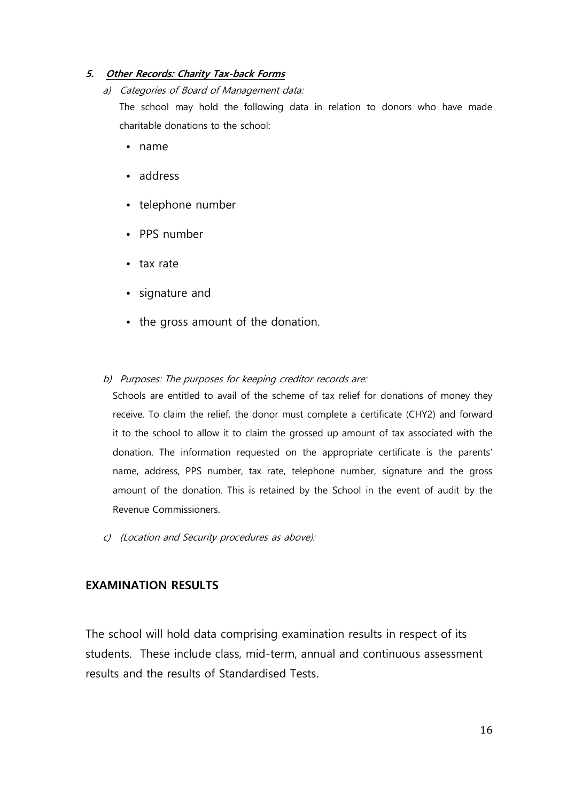#### **5. Other Records: Charity Tax-back Forms**

#### a) Categories of Board of Management data:

The school may hold the following data in relation to donors who have made charitable donations to the school:

- name
- address
- telephone number
- PPS number
- tax rate
- signature and
- the gross amount of the donation.

#### b) Purposes: The purposes for keeping creditor records are:

Schools are entitled to avail of the scheme of tax relief for donations of money they receive. To claim the relief, the donor must complete a certificate (CHY2) and forward it to the school to allow it to claim the grossed up amount of tax associated with the donation. The information requested on the appropriate certificate is the parents' name, address, PPS number, tax rate, telephone number, signature and the gross amount of the donation. This is retained by the School in the event of audit by the Revenue Commissioners.

c) (Location and Security procedures as above):

#### **EXAMINATION RESULTS**

The school will hold data comprising examination results in respect of its students. These include class, mid-term, annual and continuous assessment results and the results of Standardised Tests.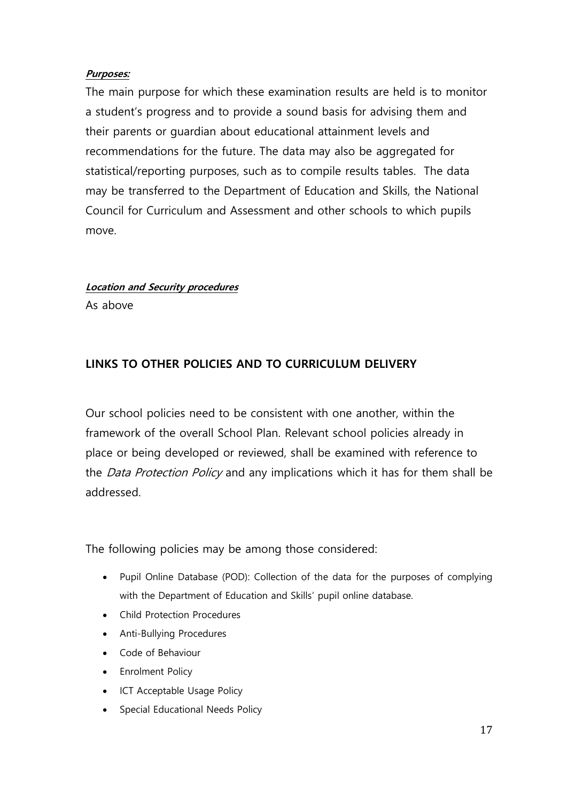#### **Purposes:**

The main purpose for which these examination results are held is to monitor a student's progress and to provide a sound basis for advising them and their parents or guardian about educational attainment levels and recommendations for the future. The data may also be aggregated for statistical/reporting purposes, such as to compile results tables. The data may be transferred to the Department of Education and Skills, the National Council for Curriculum and Assessment and other schools to which pupils move.

#### **Location and Security procedures**

As above

## **LINKS TO OTHER POLICIES AND TO CURRICULUM DELIVERY**

Our school policies need to be consistent with one another, within the framework of the overall School Plan. Relevant school policies already in place or being developed or reviewed, shall be examined with reference to the *Data Protection Policy* and any implications which it has for them shall be addressed.

The following policies may be among those considered:

- Pupil Online Database (POD): Collection of the data for the purposes of complying with the Department of Education and Skills' pupil online database.
- Child Protection Procedures
- Anti-Bullying Procedures
- Code of Behaviour
- Enrolment Policy
- ICT Acceptable Usage Policy
- Special Educational Needs Policy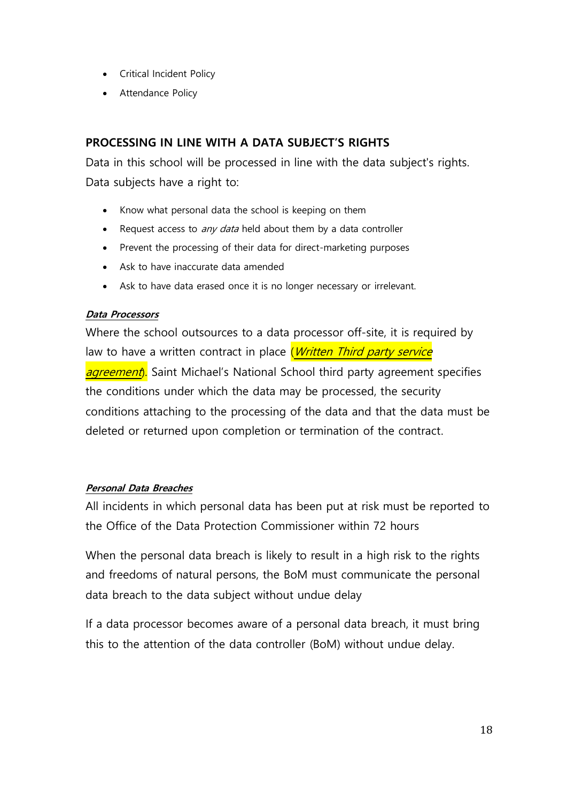- Critical Incident Policy
- Attendance Policy

### **PROCESSING IN LINE WITH A DATA SUBJECT'S RIGHTS**

Data in this school will be processed in line with the data subject's rights. Data subjects have a right to:

- Know what personal data the school is keeping on them
- Request access to *any data* held about them by a data controller
- Prevent the processing of their data for direct-marketing purposes
- Ask to have inaccurate data amended
- Ask to have data erased once it is no longer necessary or irrelevant.

#### **Data Processors**

Where the school outsources to a data processor off-site, it is required by law to have a written contract in place (Written Third party service agreement). Saint Michael's National School third party agreement specifies the conditions under which the data may be processed, the security conditions attaching to the processing of the data and that the data must be deleted or returned upon completion or termination of the contract.

#### **Personal Data Breaches**

All incidents in which personal data has been put at risk must be reported to the Office of the Data Protection Commissioner within 72 hours

When the personal data breach is likely to result in a high risk to the rights and freedoms of natural persons, the BoM must communicate the personal data breach to the data subject without undue delay

If a data processor becomes aware of a personal data breach, it must bring this to the attention of the data controller (BoM) without undue delay.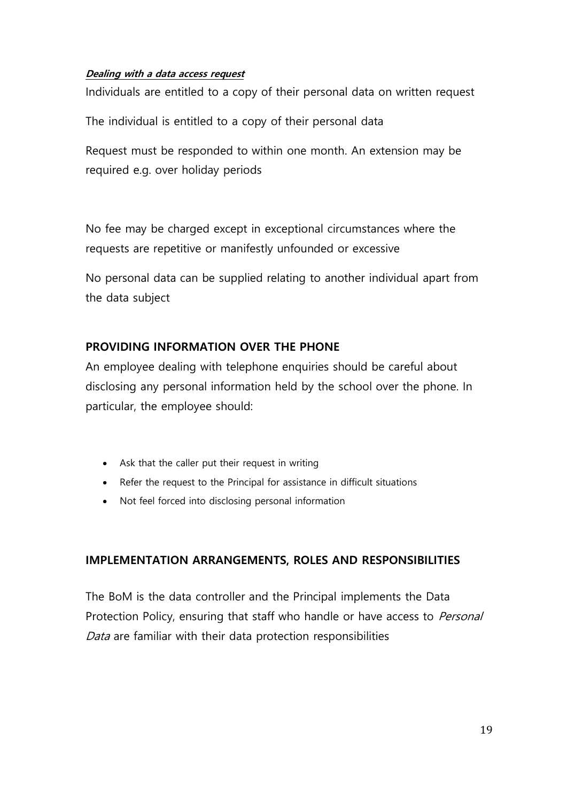#### **Dealing with a data access request**

Individuals are entitled to a copy of their personal data on written request

The individual is entitled to a copy of their personal data

Request must be responded to within one month. An extension may be required e.g. over holiday periods

No fee may be charged except in exceptional circumstances where the requests are repetitive or manifestly unfounded or excessive

No personal data can be supplied relating to another individual apart from the data subject

## **PROVIDING INFORMATION OVER THE PHONE**

An employee dealing with telephone enquiries should be careful about disclosing any personal information held by the school over the phone. In particular, the employee should:

- Ask that the caller put their request in writing
- Refer the request to the Principal for assistance in difficult situations
- Not feel forced into disclosing personal information

## **IMPLEMENTATION ARRANGEMENTS, ROLES AND RESPONSIBILITIES**

The BoM is the data controller and the Principal implements the Data Protection Policy, ensuring that staff who handle or have access to Personal Data are familiar with their data protection responsibilities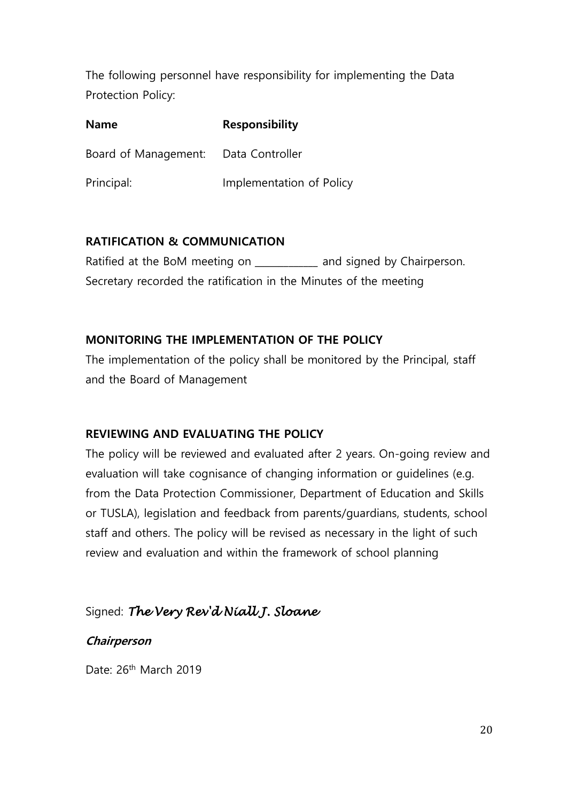The following personnel have responsibility for implementing the Data Protection Policy:

| <b>Name</b>                          | <b>Responsibility</b>    |  |
|--------------------------------------|--------------------------|--|
| Board of Management: Data Controller |                          |  |
| Principal:                           | Implementation of Policy |  |

## **RATIFICATION & COMMUNICATION**

Ratified at the BoM meeting on \_\_\_\_\_\_\_\_\_\_\_\_ and signed by Chairperson. Secretary recorded the ratification in the Minutes of the meeting

## **MONITORING THE IMPLEMENTATION OF THE POLICY**

The implementation of the policy shall be monitored by the Principal, staff and the Board of Management

## **REVIEWING AND EVALUATING THE POLICY**

The policy will be reviewed and evaluated after 2 years. On-going review and evaluation will take cognisance of changing information or guidelines (e.g. from the Data Protection Commissioner, Department of Education and Skills or TUSLA), legislation and feedback from parents/guardians, students, school staff and others. The policy will be revised as necessary in the light of such review and evaluation and within the framework of school planning

## Signed: *The Very Rev'd Niall J. Sloane*

## **Chairperson**

Date: 26<sup>th</sup> March 2019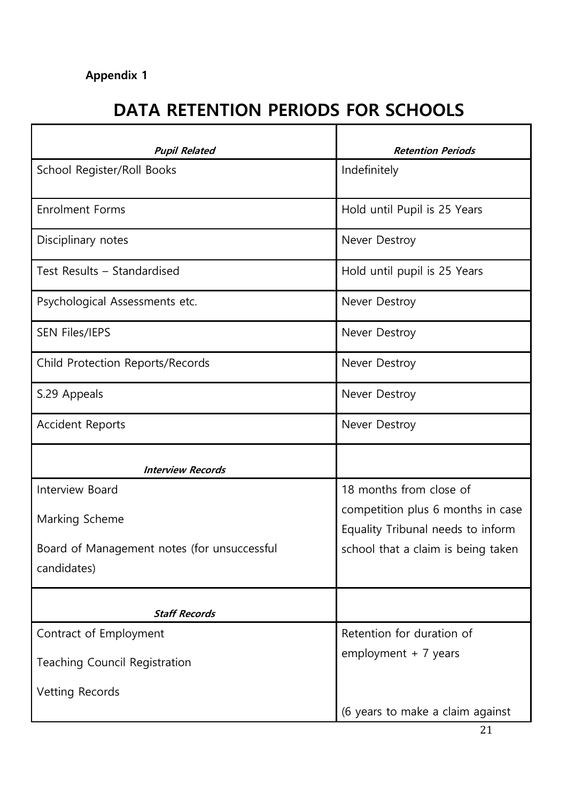## **Appendix 1**

# **DATA RETENTION PERIODS FOR SCHOOLS**

| <b>Pupil Related</b>                        | <b>Retention Periods</b>           |
|---------------------------------------------|------------------------------------|
| School Register/Roll Books                  | Indefinitely                       |
| <b>Enrolment Forms</b>                      | Hold until Pupil is 25 Years       |
| Disciplinary notes                          | Never Destroy                      |
| Test Results - Standardised                 | Hold until pupil is 25 Years       |
| Psychological Assessments etc.              | Never Destroy                      |
| <b>SEN Files/IEPS</b>                       | Never Destroy                      |
| Child Protection Reports/Records            | Never Destroy                      |
| S.29 Appeals                                | Never Destroy                      |
| <b>Accident Reports</b>                     | Never Destroy                      |
| <b>Interview Records</b>                    |                                    |
| Interview Board                             | 18 months from close of            |
| Marking Scheme                              | competition plus 6 months in case  |
|                                             | Equality Tribunal needs to inform  |
| Board of Management notes (for unsuccessful | school that a claim is being taken |
| candidates)                                 |                                    |
| <b>Staff Records</b>                        |                                    |
|                                             |                                    |
| Contract of Employment                      | Retention for duration of          |
| <b>Teaching Council Registration</b>        | employment $+ 7$ years             |
| <b>Vetting Records</b>                      |                                    |
|                                             | (6 years to make a claim against   |